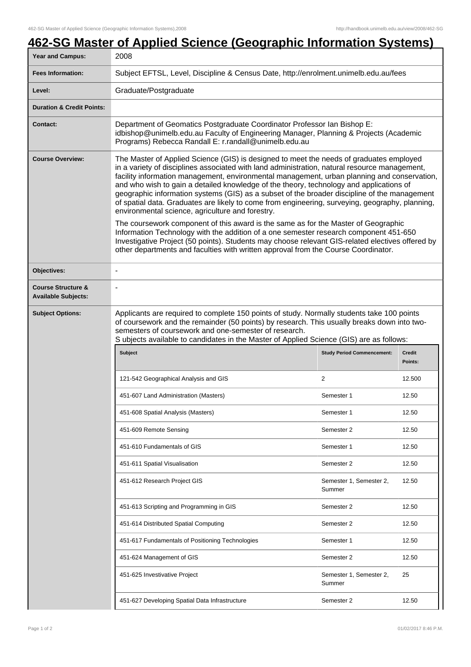## **462-SG Master of Applied Science (Geographic Information Systems)**

| <b>Year and Campus:</b>                                     | 2008                                                                                                                                                                                                                                                                                                                                                                                                                                                                                                                                                                                                                                                                                                                                                                                                                                                                                                                                                                                                               |                                   |        |  |
|-------------------------------------------------------------|--------------------------------------------------------------------------------------------------------------------------------------------------------------------------------------------------------------------------------------------------------------------------------------------------------------------------------------------------------------------------------------------------------------------------------------------------------------------------------------------------------------------------------------------------------------------------------------------------------------------------------------------------------------------------------------------------------------------------------------------------------------------------------------------------------------------------------------------------------------------------------------------------------------------------------------------------------------------------------------------------------------------|-----------------------------------|--------|--|
| <b>Fees Information:</b>                                    | Subject EFTSL, Level, Discipline & Census Date, http://enrolment.unimelb.edu.au/fees                                                                                                                                                                                                                                                                                                                                                                                                                                                                                                                                                                                                                                                                                                                                                                                                                                                                                                                               |                                   |        |  |
| Level:                                                      | Graduate/Postgraduate                                                                                                                                                                                                                                                                                                                                                                                                                                                                                                                                                                                                                                                                                                                                                                                                                                                                                                                                                                                              |                                   |        |  |
| <b>Duration &amp; Credit Points:</b>                        |                                                                                                                                                                                                                                                                                                                                                                                                                                                                                                                                                                                                                                                                                                                                                                                                                                                                                                                                                                                                                    |                                   |        |  |
| <b>Contact:</b>                                             | Department of Geomatics Postgraduate Coordinator Professor Ian Bishop E:<br>idbishop@unimelb.edu.au Faculty of Engineering Manager, Planning & Projects (Academic<br>Programs) Rebecca Randall E: r.randall@unimelb.edu.au                                                                                                                                                                                                                                                                                                                                                                                                                                                                                                                                                                                                                                                                                                                                                                                         |                                   |        |  |
| <b>Course Overview:</b>                                     | The Master of Applied Science (GIS) is designed to meet the needs of graduates employed<br>in a variety of disciplines associated with land administration, natural resource management,<br>facility information management, environmental management, urban planning and conservation,<br>and who wish to gain a detailed knowledge of the theory, technology and applications of<br>geographic information systems (GIS) as a subset of the broader discipline of the management<br>of spatial data. Graduates are likely to come from engineering, surveying, geography, planning,<br>environmental science, agriculture and forestry.<br>The coursework component of this award is the same as for the Master of Geographic<br>Information Technology with the addition of a one semester research component 451-650<br>Investigative Project (50 points). Students may choose relevant GIS-related electives offered by<br>other departments and faculties with written approval from the Course Coordinator. |                                   |        |  |
| Objectives:                                                 | $\overline{\phantom{a}}$                                                                                                                                                                                                                                                                                                                                                                                                                                                                                                                                                                                                                                                                                                                                                                                                                                                                                                                                                                                           |                                   |        |  |
| <b>Course Structure &amp;</b><br><b>Available Subjects:</b> |                                                                                                                                                                                                                                                                                                                                                                                                                                                                                                                                                                                                                                                                                                                                                                                                                                                                                                                                                                                                                    |                                   |        |  |
| <b>Subject Options:</b>                                     | Applicants are required to complete 150 points of study. Normally students take 100 points<br>of coursework and the remainder (50 points) by research. This usually breaks down into two-<br>semesters of coursework and one-semester of research.<br>S ubjects available to candidates in the Master of Applied Science (GIS) are as follows:<br><b>Subject</b><br><b>Study Period Commencement:</b><br><b>Credit</b><br>Points:                                                                                                                                                                                                                                                                                                                                                                                                                                                                                                                                                                                  |                                   |        |  |
|                                                             |                                                                                                                                                                                                                                                                                                                                                                                                                                                                                                                                                                                                                                                                                                                                                                                                                                                                                                                                                                                                                    |                                   |        |  |
|                                                             | 121-542 Geographical Analysis and GIS                                                                                                                                                                                                                                                                                                                                                                                                                                                                                                                                                                                                                                                                                                                                                                                                                                                                                                                                                                              | $\mathbf{2}$                      | 12.500 |  |
|                                                             | 451-607 Land Administration (Masters)                                                                                                                                                                                                                                                                                                                                                                                                                                                                                                                                                                                                                                                                                                                                                                                                                                                                                                                                                                              | Semester 1                        | 12.50  |  |
|                                                             | 451-608 Spatial Analysis (Masters)                                                                                                                                                                                                                                                                                                                                                                                                                                                                                                                                                                                                                                                                                                                                                                                                                                                                                                                                                                                 | Semester 1                        | 12.50  |  |
|                                                             | 451-609 Remote Sensing                                                                                                                                                                                                                                                                                                                                                                                                                                                                                                                                                                                                                                                                                                                                                                                                                                                                                                                                                                                             | Semester 2                        | 12.50  |  |
|                                                             | 451-610 Fundamentals of GIS                                                                                                                                                                                                                                                                                                                                                                                                                                                                                                                                                                                                                                                                                                                                                                                                                                                                                                                                                                                        | Semester 1                        | 12.50  |  |
|                                                             | 451-611 Spatial Visualisation                                                                                                                                                                                                                                                                                                                                                                                                                                                                                                                                                                                                                                                                                                                                                                                                                                                                                                                                                                                      | Semester 2                        | 12.50  |  |
|                                                             | 451-612 Research Project GIS                                                                                                                                                                                                                                                                                                                                                                                                                                                                                                                                                                                                                                                                                                                                                                                                                                                                                                                                                                                       | Semester 1, Semester 2,<br>Summer | 12.50  |  |
|                                                             | 451-613 Scripting and Programming in GIS                                                                                                                                                                                                                                                                                                                                                                                                                                                                                                                                                                                                                                                                                                                                                                                                                                                                                                                                                                           | Semester 2                        | 12.50  |  |
|                                                             | 451-614 Distributed Spatial Computing                                                                                                                                                                                                                                                                                                                                                                                                                                                                                                                                                                                                                                                                                                                                                                                                                                                                                                                                                                              | Semester 2                        | 12.50  |  |
|                                                             | 451-617 Fundamentals of Positioning Technologies                                                                                                                                                                                                                                                                                                                                                                                                                                                                                                                                                                                                                                                                                                                                                                                                                                                                                                                                                                   | Semester 1                        | 12.50  |  |
|                                                             | 451-624 Management of GIS                                                                                                                                                                                                                                                                                                                                                                                                                                                                                                                                                                                                                                                                                                                                                                                                                                                                                                                                                                                          | Semester 2                        | 12.50  |  |
|                                                             |                                                                                                                                                                                                                                                                                                                                                                                                                                                                                                                                                                                                                                                                                                                                                                                                                                                                                                                                                                                                                    |                                   |        |  |
|                                                             | 451-625 Investivative Project                                                                                                                                                                                                                                                                                                                                                                                                                                                                                                                                                                                                                                                                                                                                                                                                                                                                                                                                                                                      | Semester 1, Semester 2,<br>Summer | 25     |  |